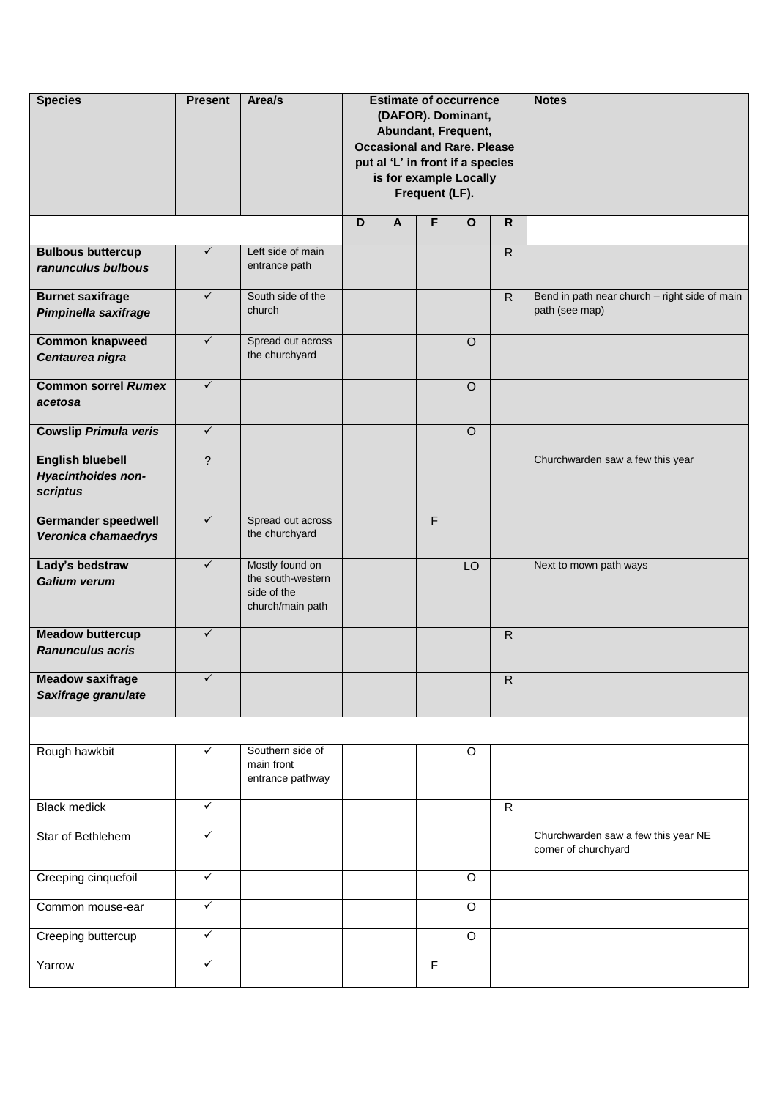| <b>Species</b>                                            | <b>Present</b>           | Area/s                                                                  |   |              | Frequent (LF). | <b>Estimate of occurrence</b><br>(DAFOR). Dominant,<br>Abundant, Frequent,<br><b>Occasional and Rare. Please</b><br>put al 'L' in front if a species<br>is for example Locally |                | <b>Notes</b>                                                    |
|-----------------------------------------------------------|--------------------------|-------------------------------------------------------------------------|---|--------------|----------------|--------------------------------------------------------------------------------------------------------------------------------------------------------------------------------|----------------|-----------------------------------------------------------------|
|                                                           |                          |                                                                         | D | $\mathsf{A}$ | F              | $\mathbf{o}$                                                                                                                                                                   | $\mathsf{R}$   |                                                                 |
| <b>Bulbous buttercup</b><br>ranunculus bulbous            | $\checkmark$             | Left side of main<br>entrance path                                      |   |              |                |                                                                                                                                                                                | $\overline{R}$ |                                                                 |
| <b>Burnet saxifrage</b><br>Pimpinella saxifrage           | $\checkmark$             | South side of the<br>church                                             |   |              |                |                                                                                                                                                                                | $\mathsf{R}$   | Bend in path near church - right side of main<br>path (see map) |
| <b>Common knapweed</b><br>Centaurea nigra                 | $\checkmark$             | Spread out across<br>the churchyard                                     |   |              |                | $\circ$                                                                                                                                                                        |                |                                                                 |
| <b>Common sorrel Rumex</b><br>acetosa                     | $\checkmark$             |                                                                         |   |              |                | $\circ$                                                                                                                                                                        |                |                                                                 |
| <b>Cowslip Primula veris</b>                              | $\checkmark$             |                                                                         |   |              |                | $\overline{O}$                                                                                                                                                                 |                |                                                                 |
| <b>English bluebell</b><br>Hyacinthoides non-<br>scriptus | $\overline{\phantom{0}}$ |                                                                         |   |              |                |                                                                                                                                                                                |                | Churchwarden saw a few this year                                |
| <b>Germander speedwell</b><br>Veronica chamaedrys         | $\checkmark$             | Spread out across<br>the churchyard                                     |   |              | F              |                                                                                                                                                                                |                |                                                                 |
| Lady's bedstraw<br><b>Galium verum</b>                    | $\checkmark$             | Mostly found on<br>the south-western<br>side of the<br>church/main path |   |              |                | LO                                                                                                                                                                             |                | Next to mown path ways                                          |
| <b>Meadow buttercup</b><br><b>Ranunculus acris</b>        | $\checkmark$             |                                                                         |   |              |                |                                                                                                                                                                                | $\overline{R}$ |                                                                 |
| <b>Meadow saxifrage</b><br>Saxifrage granulate            |                          |                                                                         |   |              |                |                                                                                                                                                                                | R              |                                                                 |
|                                                           |                          |                                                                         |   |              |                |                                                                                                                                                                                |                |                                                                 |
| Rough hawkbit                                             | ✓                        | Southern side of<br>main front<br>entrance pathway                      |   |              |                | O                                                                                                                                                                              |                |                                                                 |
| <b>Black medick</b>                                       | $\checkmark$             |                                                                         |   |              |                |                                                                                                                                                                                | $\mathsf{R}$   |                                                                 |
| Star of Bethlehem                                         | ✓                        |                                                                         |   |              |                |                                                                                                                                                                                |                | Churchwarden saw a few this year NE<br>corner of churchyard     |
| Creeping cinquefoil                                       | $\checkmark$             |                                                                         |   |              |                | $\overline{O}$                                                                                                                                                                 |                |                                                                 |
| Common mouse-ear                                          | $\checkmark$             |                                                                         |   |              |                | $\circ$                                                                                                                                                                        |                |                                                                 |
| Creeping buttercup                                        | $\checkmark$             |                                                                         |   |              |                | $\circ$                                                                                                                                                                        |                |                                                                 |
| Yarrow                                                    | $\checkmark$             |                                                                         |   |              | F              |                                                                                                                                                                                |                |                                                                 |